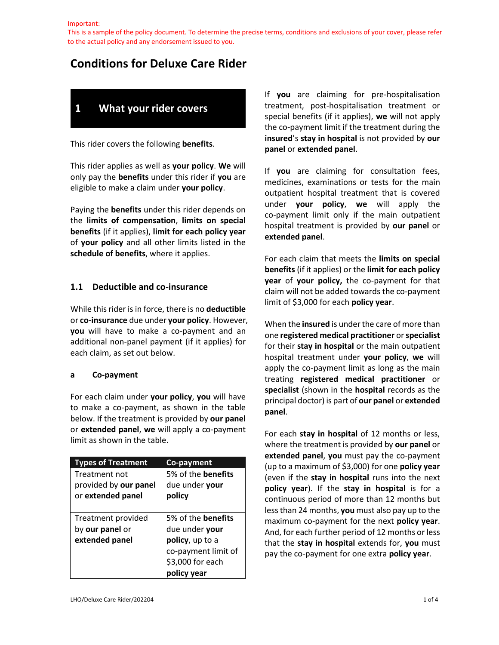This is a sample of the policy document. To determine the precise terms, conditions and exclusions of your cover, please refer to the actual policy and any endorsement issued to you.

# **Conditions for Deluxe Care Rider**

# **1 What your rider covers**

This rider covers the following **benefits**.

This rider applies as well as **your policy**. **We** will only pay the **benefits** under this rider if **you** are eligible to make a claim under **your policy**.

Paying the **benefits** under this rider depends on the **limits of compensation**, **limits on special benefits** (if it applies), **limit for each policy year** of **your policy** and all other limits listed in the **schedule of benefits**, where it applies.

### **1.1 Deductible and co-insurance**

While this rider is in force, there is no **deductible**  or **co-insurance** due under **your policy**. However, **you** will have to make a co-payment and an additional non-panel payment (if it applies) for each claim, as set out below.

#### **a Co-payment**

For each claim under **your policy**, **you** will have to make a co-payment, as shown in the table below. If the treatment is provided by **our panel** or **extended panel**, **we** will apply a co-payment limit as shown in the table.

| <b>Types of Treatment</b> | Co-payment                |
|---------------------------|---------------------------|
| Treatment not             | 5% of the <b>benefits</b> |
| provided by our panel     | due under your            |
| or extended panel         | policy                    |
|                           |                           |
| Treatment provided        | 5% of the <b>benefits</b> |
| by our panel or           | due under your            |
| extended panel            | policy, up to a           |
|                           | co-payment limit of       |
|                           | \$3,000 for each          |
|                           | policy year               |

If **you** are claiming for pre-hospitalisation treatment, post-hospitalisation treatment or special benefits (if it applies), **we** will not apply the co-payment limit if the treatment during the **insured**'s **stay in hospital** is not provided by **our panel** or **extended panel**.

If **you** are claiming for consultation fees, medicines, examinations or tests for the main outpatient hospital treatment that is covered under **your policy**, **we** will apply the co-payment limit only if the main outpatient hospital treatment is provided by **our panel** or **extended panel**.

For each claim that meets the **limits on special benefits** (if it applies) or the **limit for each policy year** of **your policy,** the co-payment for that claim will not be added towards the co-payment limit of \$3,000 for each **policy year**.

When the **insured** is under the care of more than one **registered medical practitioner** or **specialist**  for their **stay in hospital** or the main outpatient hospital treatment under **your policy**, **we** will apply the co-payment limit as long as the main treating **registered medical practitioner** or **specialist** (shown in the **hospital** records as the principal doctor) is part of **our panel** or **extended panel**.

For each **stay in hospital** of 12 months or less, where the treatment is provided by **our panel** or **extended panel**, **you** must pay the co-payment (up to a maximum of \$3,000) for one **policy year** (even if the **stay in hospital** runs into the next **policy year**). If the **stay in hospital** is for a continuous period of more than 12 months but less than 24 months, **you** must also pay up to the maximum co-payment for the next **policy year**. And, for each further period of 12 months or less that the **stay in hospital** extends for, **you** must pay the co-payment for one extra **policy year**.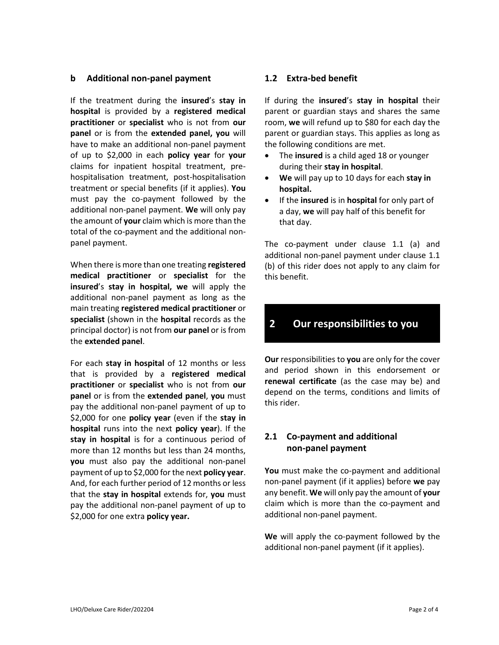#### **b Additional non-panel payment**

If the treatment during the **insured**'s **stay in hospital** is provided by a **registered medical practitioner** or **specialist** who is not from **our panel** or is from the **extended panel, you** will have to make an additional non-panel payment of up to \$2,000 in each **policy year** for **your** claims for inpatient hospital treatment, prehospitalisation treatment, post-hospitalisation treatment or special benefits (if it applies). **You**  must pay the co-payment followed by the additional non-panel payment. **We** will only pay the amount of **your** claim which is more than the total of the co-payment and the additional nonpanel payment.

When there is more than one treating **registered medical practitioner** or **specialist** for the **insured**'s **stay in hospital, we** will apply the additional non-panel payment as long as the main treating **registered medical practitioner** or **specialist** (shown in the **hospital** records as the principal doctor) is not from **our panel** or is from the **extended panel**.

For each **stay in hospital** of 12 months or less that is provided by a **registered medical practitioner** or **specialist** who is not from **our panel** or is from the **extended panel**, **you** must pay the additional non-panel payment of up to \$2,000 for one **policy year** (even if the **stay in hospital** runs into the next **policy year**). If the **stay in hospital** is for a continuous period of more than 12 months but less than 24 months, **you** must also pay the additional non-panel payment of up to \$2,000 for the next **policy year**. And, for each further period of 12 months or less that the **stay in hospital** extends for, **you** must pay the additional non-panel payment of up to \$2,000 for one extra **policy year.**

#### **1.2 Extra-bed benefit**

If during the **insured**'s **stay in hospital** their parent or guardian stays and shares the same room, **we** will refund up to \$80 for each day the parent or guardian stays. This applies as long as the following conditions are met.

- The **insured** is a child aged 18 or younger during their **stay in hospital**.
- **We** will pay up to 10 days for each **stay in hospital.**
- If the **insured** is in **hospital** for only part of a day, **we** will pay half of this benefit for that day.

The co-payment under clause 1.1 (a) and additional non-panel payment under clause 1.1 (b) of this rider does not apply to any claim for this benefit.

## **2 Our responsibilities to you**

**Our** responsibilities to **you** are only for the cover and period shown in this endorsement or **renewal certificate** (as the case may be) and depend on the terms, conditions and limits of this rider.

### **2.1 Co-payment and additional non-panel payment**

**You** must make the co-payment and additional non-panel payment (if it applies) before **we** pay any benefit. **We** will only pay the amount of **your** claim which is more than the co-payment and additional non-panel payment.

**We** will apply the co-payment followed by the additional non-panel payment (if it applies).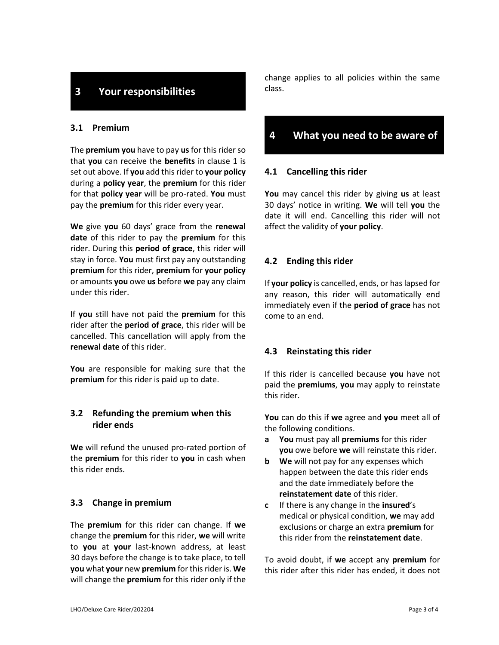## **3 Your responsibilities**

#### **3.1 Premium**

The **premium you** have to pay **us**for this riderso that **you** can receive the **benefits** in clause 1 is set out above. If **you** add this rider to **your policy** during a **policy year**, the **premium** for this rider for that **policy year** will be pro-rated. **You** must pay the **premium** for this rider every year.

**We** give **you** 60 days' grace from the **renewal date** of this rider to pay the **premium** for this rider. During this **period of grace**, this rider will stay in force. **You** must first pay any outstanding **premium** for this rider, **premium** for **your policy** or amounts **you** owe **us** before **we** pay any claim under this rider.

If **you** still have not paid the **premium** for this rider after the **period of grace**, this rider will be cancelled. This cancellation will apply from the **renewal date** of this rider.

**You** are responsible for making sure that the **premium** for this rider is paid up to date.

#### **3.2 Refunding the premium when this rider ends**

**We** will refund the unused pro-rated portion of the **premium** for this rider to **you** in cash when this rider ends.

#### **3.3 Change in premium**

The **premium** for this rider can change. If **we**  change the **premium** for this rider, **we** will write to **you** at **your** last-known address, at least 30 days before the change is to take place, to tell **you** what **your** new **premium** for this rider is. **We** will change the **premium** for this rider only if the change applies to all policies within the same class.

## **4 What you need to be aware of**

#### **4.1 Cancelling this rider**

**You** may cancel this rider by giving **us** at least 30 days' notice in writing. **We** will tell **you** the date it will end. Cancelling this rider will not affect the validity of **your policy**.

#### **4.2 Ending this rider**

If **your policy** is cancelled, ends, or has lapsed for any reason, this rider will automatically end immediately even if the **period of grace** has not come to an end.

#### **4.3 Reinstating this rider**

If this rider is cancelled because **you** have not paid the **premiums**, **you** may apply to reinstate this rider.

**You** can do this if **we** agree and **you** meet all of the following conditions.

- **a You** must pay all **premiums** for this rider **you** owe before **we** will reinstate this rider.
- **b We** will not pay for any expenses which happen between the date this rider ends and the date immediately before the **reinstatement date** of this rider.
- **c** If there is any change in the **insured**'s medical or physical condition, **we** may add exclusions or charge an extra **premium** for this rider from the **reinstatement date**.

To avoid doubt, if **we** accept any **premium** for this rider after this rider has ended, it does not